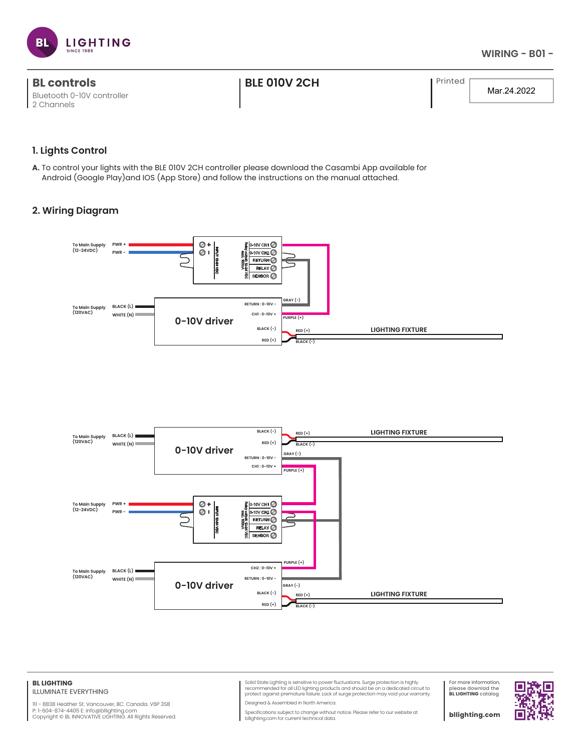

| <b>BL controls</b>         | <b>I BLE 010V 2CH</b> | l Printed |
|----------------------------|-----------------------|-----------|
| Bluetooth 0-10V controller |                       |           |
| 2 Channels                 |                       |           |

Mar.24.2022

## **1. Lights Control**

**A.** To control your lights with the BLE 010V 2CH controller please download the Casambi App available for Android (Google Play)and IOS (App Store) and follow the instructions on the manual attached.

# **2. Wiring Diagram**





#### **BL LIGHTING** ILLUMINATE EVERYTHING

111 - 8838 Heather St. Vancouver, BC. Canada. V6P 3S8 P: 1-604-874-4405 E: info@bllighting.com Copyright © BL INNOVATIVE LIGHTING. All Rights Reserved.

Solid State Lighting is sensitive to power fluctuations. Surge protection is highly<br>recommended for all LED lighting products and should be on a dedicated circuit to<br>protect against premature failure. Lack of surge protect Designed & Assembled in North America.

For more information, please downlad the **BL LIGHTING** catalog

П

Specifications subject to change without notice. Please refer to our website at bllighting.com for current technical data.

**bllighting.com**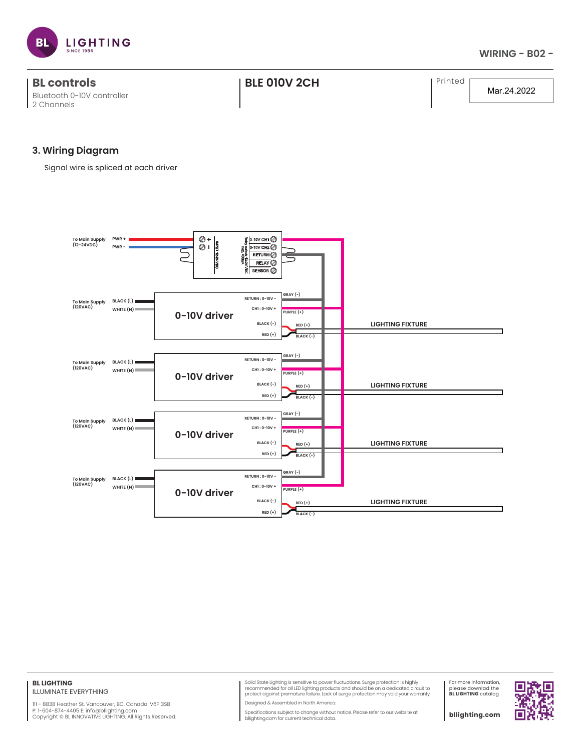

| <b>BL controls</b><br>Bluetooth 0-10V controller | <b>I BLE 010V 2CH</b> | Printed | Mar.24.2022 |
|--------------------------------------------------|-----------------------|---------|-------------|
| 2 Channels                                       |                       |         |             |

## **3. Wiring Diagram**

Signal wire is spliced at each driver



### **BL LIGHTING** ILLUMINATE EVERYTHING

111 - 8838 Heather St. Vancouver, BC. Canada. V6P 3S8 P: 1-604-874-4405 E: info@bllighting.com<br>Copyright © BL INNOVATIVE LIGHTING. All Rights Reserved. Solid State Lighting is sensitive to power fluctuations. Surge protection is highly<br>recommended for all LED lighting products and should be on a dedicated circuit to<br>protect against premature failure. Lack of surge protect

Designed & Assembled in North America.

Specifications subject to change without notice. Please refer to our website at bllighting.com for current technical data.

For more information, please downlad the **BL LIGHTING** catalog

**bllighting.com**

П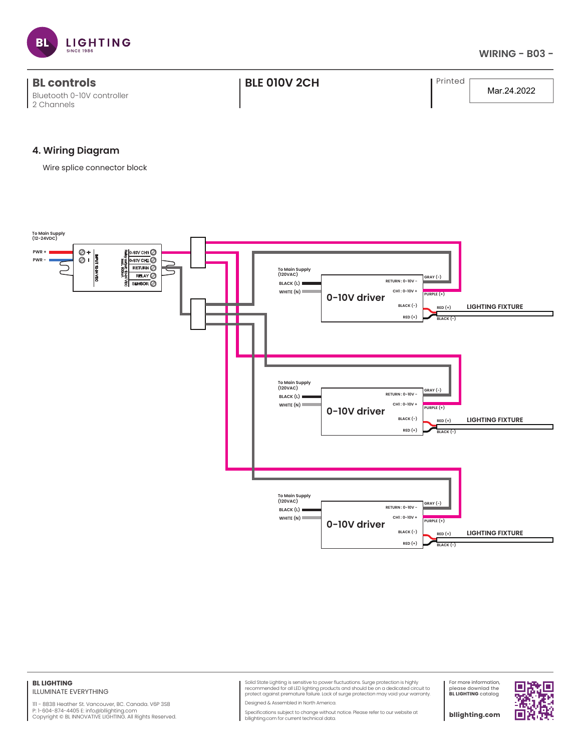

| <b>BL controls</b>         | <b>BLE 010V 2CH</b> | Printed |             |
|----------------------------|---------------------|---------|-------------|
| Bluetooth 0-10V controller |                     |         | Mar.24.2022 |
| 2 Channels                 |                     |         |             |

## **4. Wiring Diagram**

Wire splice connector block



#### **BL LIGHTING** ILLUMINATE EVERYTHING

111 - 8838 Heather St. Vancouver, BC. Canada. V6P 3S8<br>P: 1-604-874-4405 E: info@bllighting.com<br>Copyright © BL INNOVATIVE LIGHTING. All Rights Reserved.

Solid State Lighting is sensitive to power fluctuations. Surge protection is highly<br>recommended for all LED lighting products and should be on a dedicated circuit to<br>protect against premature failure. Lack of surge protect

Designed & Assembled in North America.

Specifications subject to change without notice. Please refer to our website at bllighting.com for current technical data.

For more information, please downlad the **BL LIGHTING** catalog

**bllighting.com**